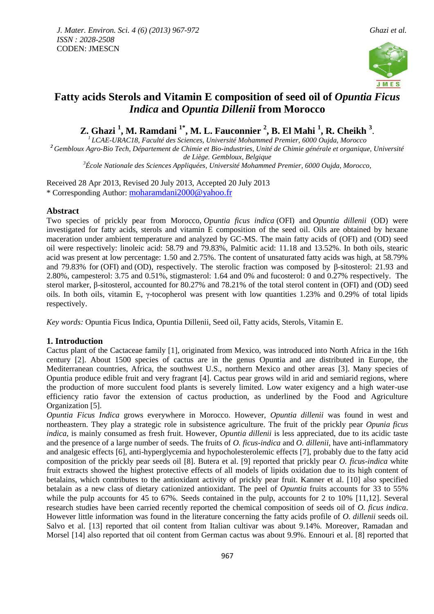

# **Fatty acids Sterols and Vitamin E composition of seed oil of** *Opuntia Ficus Indica* **and** *Opuntia Dillenii* **from Morocco**

**Z. Ghazi <sup>1</sup> , M. Ramdani 1\* , M. L. Fauconnier <sup>2</sup> , B. El Mahi <sup>1</sup> , R. Cheikh <sup>3</sup>** .

*LCAE-URAC18, Faculté des Sciences, Université Mohammed Premier, 6000 Oujda, Morocco Gembloux Agro-Bio Tech, Département de Chimie et Bio-industries, Unité de Chimie générale et organique, Université de Liège. Gembloux, Belgique École Nationale des Sciences Appliquées, Université Mohammed Premier, 6000 Oujda, Morocco,*

Received 28 Apr 2013, Revised 20 July 2013, Accepted 20 July 2013 \* Corresponding Author: [moharamdani2000@yahoo.fr](mailto:moharamdani2000@yahoo.fr)

# **Abstract**

Two species of prickly pear from Morocco, *Opuntia ficus indica* (OFI) and *Opuntia dillenii* (OD) were investigated for fatty acids, sterols and vitamin E composition of the seed oil. Oils are obtained by hexane maceration under ambient temperature and analyzed by GC-MS. The main fatty acids of (OFI) and (OD) seed oil were respectively: linoleic acid: 58.79 and 79.83%, Palmitic acid: 11.18 and 13.52%. In both oils, stearic acid was present at low percentage: 1.50 and 2.75%. The content of unsaturated fatty acids was high, at 58.79% and 79.83% for (OFI) and (OD), respectively. The sterolic fraction was composed by β-sitosterol: 21.93 and 2.80%, campesterol: 3.75 and 0.51%, stigmasterol: 1.64 and 0% and fucosterol: 0 and 0.27% respectively. The sterol marker, β-sitosterol, accounted for 80.27% and 78.21% of the total sterol content in (OFI) and (OD) seed oils. In both oils, vitamin E, γ-tocopherol was present with low quantities 1.23% and 0.29% of total lipids respectively.

*Key words:* Opuntia Ficus Indica, Opuntia Dillenii, Seed oil, Fatty acids, Sterols, Vitamin E.

# **1. Introduction**

Cactus plant of the Cactaceae family [1], originated from Mexico, was introduced into North Africa in the 16th century [2]. About 1500 species of cactus are in the genus Opuntia and are distributed in Europe, the Mediterranean countries, Africa, the southwest U.S., northern Mexico and other areas [3]. Many species of Opuntia produce edible fruit and very fragrant [4]. Cactus pear grows wild in arid and semiarid regions, where the production of more succulent food plants is severely limited. Low water exigency and a high water-use efficiency ratio favor the extension of cactus production, as underlined by the Food and Agriculture Organization [5].

*Opuntia Ficus Indica* grows everywhere in Morocco. However, *Opuntia dillenii* was found in west and northeastern. They play a strategic role in subsistence agriculture. The fruit of the prickly pear *Opunia ficus indica*, is mainly consumed as fresh fruit. However, *Opuntia dillenii* is less appreciated, due to its acidic taste and the presence of a large number of seeds. The fruits of *O. ficus-indica* and *O. dillenii*, have anti-inflammatory and analgesic effects [6], anti-hyperglycemia and hypocholesterolemic effects [7], probably due to the fatty acid composition of the prickly pear seeds oil [8]. Butera et al. [9] reported that prickly pear *O. ficus-indica* white fruit extracts showed the highest protective effects of all models of lipids oxidation due to its high content of betalains, which contributes to the antioxidant activity of prickly pear fruit. Kanner et al. [10] also specified betalain as a new class of dietary cationized antioxidant. The peel of *Opuntia* fruits accounts for 33 to 55% while the pulp accounts for 45 to 67%. Seeds contained in the pulp, accounts for 2 to 10% [11,12]. Several research studies have been carried recently reported the chemical composition of seeds oil of *O. ficus indica*. However little information was found in the literature concerning the fatty acids profile of *O. dillenii* seeds oil. Salvo et al. [13] reported that oil content from Italian cultivar was about 9.14%. Moreover, Ramadan and Morsel [14] also reported that oil content from German cactus was about 9.9%. Ennouri et al. [8] reported that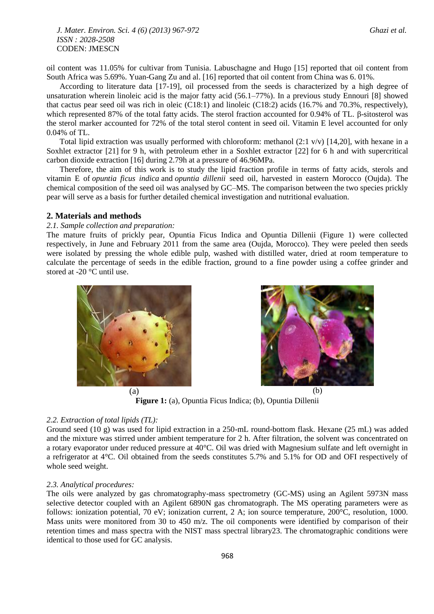*J. Mater. Environ. Sci. 4 (6) (2013) 967-972 Ghazi et al. ISSN : 2028-2508* CODEN: JMESCN

oil content was 11.05% for cultivar from Tunisia. Labuschagne and Hugo [15] reported that oil content from South Africa was 5.69%. Yuan-Gang Zu and al. [16] reported that oil content from China was 6. 01%.

According to literature data [17-19], oil processed from the seeds is characterized by a high degree of unsaturation wherein linoleic acid is the major fatty acid (56.1–77%). In a previous study Ennouri [8] showed that cactus pear seed oil was rich in oleic (C18:1) and linoleic (C18:2) acids (16.7% and 70.3%, respectively), which represented 87% of the total fatty acids. The sterol fraction accounted for 0.94% of TL. β-sitosterol was the sterol marker accounted for 72% of the total sterol content in seed oil. Vitamin E level accounted for only 0.04% of TL.

Total lipid extraction was usually performed with chloroform: methanol  $(2:1 \text{ v/v})$  [14,20], with hexane in a Soxhlet extractor [21] for 9 h, with petroleum ether in a Soxhlet extractor [22] for 6 h and with supercritical carbon dioxide extraction [16] during 2.79h at a pressure of 46.96MPa.

Therefore, the aim of this work is to study the lipid fraction profile in terms of fatty acids, sterols and vitamin E of *opuntia ficus indica* and *opuntia dillenii* seed oil, harvested in eastern Morocco (Oujda). The chemical composition of the seed oil was analysed by GC–MS. The comparison between the two species prickly pear will serve as a basis for further detailed chemical investigation and nutritional evaluation.

# **2. Materials and methods**

#### *2.1. Sample collection and preparation:*

The mature fruits of prickly pear, Opuntia Ficus Indica and Opuntia Dillenii (Figure 1) were collected respectively, in June and February 2011 from the same area (Oujda, Morocco). They were peeled then seeds were isolated by pressing the whole edible pulp, washed with distilled water, dried at room temperature to calculate the percentage of seeds in the edible fraction, ground to a fine powder using a coffee grinder and stored at -20 °C until use.





**Figure 1:** (a), Opuntia Ficus Indica; (b), Opuntia Dillenii

### *2.2. Extraction of total lipids (TL):*

Ground seed (10 g) was used for lipid extraction in a 250-mL round-bottom flask. Hexane (25 mL) was added and the mixture was stirred under ambient temperature for 2 h. After filtration, the solvent was concentrated on a rotary evaporator under reduced pressure at 40°C. Oil was dried with Magnesium sulfate and left overnight in a refrigerator at 4°C. Oil obtained from the seeds constitutes 5.7% and 5.1% for OD and OFI respectively of whole seed weight.

#### *2.3. Analytical procedures:*

The oils were analyzed by gas chromatography-mass spectrometry (GC-MS) using an Agilent 5973N mass selective detector coupled with an Agilent 6890N gas chromatograph. The MS operating parameters were as follows: ionization potential, 70 eV; ionization current, 2 A; ion source temperature, 200°C, resolution, 1000. Mass units were monitored from 30 to 450 m/z. The oil components were identified by comparison of their retention times and mass spectra with the NIST mass spectral library23. The chromatographic conditions were identical to those used for GC analysis.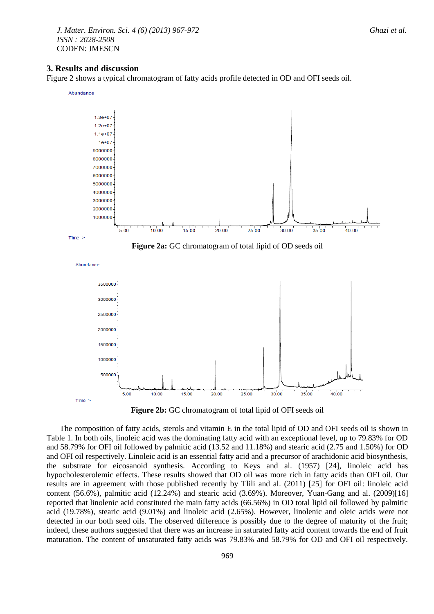*J. Mater. Environ. Sci. 4 (6) (2013) 967-972 Ghazi et al. ISSN : 2028-2508* CODEN: JMESCN

#### **3. Results and discussion**

Figure 2 shows a typical chromatogram of fatty acids profile detected in OD and OFI seeds oil.



**Figure 2b:** GC chromatogram of total lipid of OFI seeds oil

The composition of fatty acids, sterols and vitamin E in the total lipid of OD and OFI seeds oil is shown in Table 1. In both oils, linoleic acid was the dominating fatty acid with an exceptional level, up to 79.83% for OD and 58.79% for OFI oil followed by palmitic acid (13.52 and 11.18%) and stearic acid (2.75 and 1.50%) for OD and OFI oil respectively. Linoleic acid is an essential fatty acid and a precursor of arachidonic acid biosynthesis, the substrate for eicosanoid synthesis. According to Keys and al. (1957) [24], linoleic acid has hypocholesterolemic effects. These results showed that OD oil was more rich in fatty acids than OFI oil. Our results are in agreement with those published recently by Tlili and al. (2011) [25] for OFI oil: linoleic acid content (56.6%), palmitic acid (12.24%) and stearic acid (3.69%). Moreover, Yuan-Gang and al. (2009)[16] reported that linolenic acid constituted the main fatty acids (66.56%) in OD total lipid oil followed by palmitic acid (19.78%), stearic acid (9.01%) and linoleic acid (2.65%). However, linolenic and oleic acids were not detected in our both seed oils. The observed difference is possibly due to the degree of maturity of the fruit; indeed, these authors suggested that there was an increase in saturated fatty acid content towards the end of fruit maturation. The content of unsaturated fatty acids was 79.83% and 58.79% for OD and OFI oil respectively.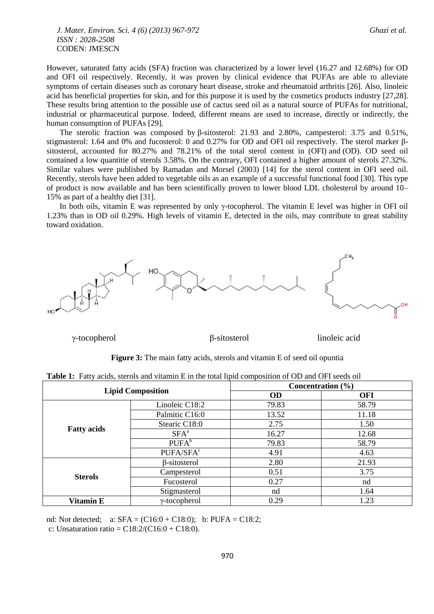*J. Mater. Environ. Sci. 4 (6) (2013) 967-972 Ghazi et al. ISSN : 2028-2508* CODEN: JMESCN

However, saturated fatty acids (SFA) fraction was characterized by a lower level (16.27 and 12.68%) for OD and OFI oil respectively. Recently, it was proven by clinical evidence that PUFAs are able to alleviate symptoms of certain diseases such as coronary heart disease, stroke and rheumatoid arthritis [26]. Also, linoleic acid has beneficial properties for skin, and for this purpose it is used by the cosmetics products industry [27,28]. These results bring attention to the possible use of cactus seed oil as a natural source of PUFAs for nutritional, industrial or pharmaceutical purpose. Indeed, different means are used to increase, directly or indirectly, the human consumption of PUFAs [29].

The sterolic fraction was composed by β-sitosterol: 21.93 and 2.80%, campesterol: 3.75 and 0.51%, stigmasterol: 1.64 and 0% and fucosterol: 0 and 0.27% for OD and OFI oil respectively. The sterol marker βsitosterol, accounted for 80.27% and 78.21% of the total sterol content in (OFI) and (OD). OD seed oil contained a low quantitie of sterols 3.58%. On the contrary, OFI contained a higher amount of sterols 27.32%. Similar values were published by Ramadan and Morsel (2003) [14] for the sterol content in OFI seed oil*.* Recently, sterols have been added to vegetable oils as an example of a successful functional food [30]. This type of product is now available and has been scientifically proven to lower blood LDL cholesterol by around 10– 15% as part of a healthy diet [31].

In both oils, vitamin E was represented by only γ-tocopherol. The vitamin E level was higher in OFI oil 1.23% than in OD oil 0.29%. High levels of vitamin E, detected in the oils, may contribute to great stability toward oxidation.



γ-tocopherol β-sitosterol linoleic acid

#### **Figure 3:** The main fatty acids, sterols and vitamin E of seed oil opuntia

|  | <b>Table 1:</b> Fatty acids, sterols and vitamin E in the total lipid composition of OD and OFI seeds oil |  |  |  |  |  |  |
|--|-----------------------------------------------------------------------------------------------------------|--|--|--|--|--|--|
|--|-----------------------------------------------------------------------------------------------------------|--|--|--|--|--|--|

|                          |                       | Concentration $(\% )$ |       |  |  |
|--------------------------|-----------------------|-----------------------|-------|--|--|
| <b>Lipid Composition</b> |                       | <b>OD</b>             | OFI   |  |  |
|                          | Linoleic C18:2        | 79.83                 | 58.79 |  |  |
|                          | Palmitic C16:0        | 13.52                 | 11.18 |  |  |
|                          | Stearic C18:0         | 2.75                  | 1.50  |  |  |
| <b>Fatty acids</b>       | $SFA^a$               | 16.27                 | 12.68 |  |  |
|                          | $PUFA^b$              | 79.83                 | 58.79 |  |  |
|                          | PUFA/SFA <sup>c</sup> | 4.91                  | 4.63  |  |  |
|                          | $\beta$ -sitosterol   | 2.80                  | 21.93 |  |  |
| <b>Sterols</b>           | Campesterol           | 0.51                  | 3.75  |  |  |
|                          | Fucosterol            | 0.27                  | nd    |  |  |
|                          | Stigmasterol          | nd                    | 1.64  |  |  |
| Vitamin E                | $\gamma$ -tocopherol  | 0.29                  | 1.23  |  |  |

nd: Not detected;  $a: SFA = (C16:0 + C18:0); b: PUFA = C18:2;$ 

c: Unsaturation ratio =  $C18:2/(C16:0 + C18:0)$ .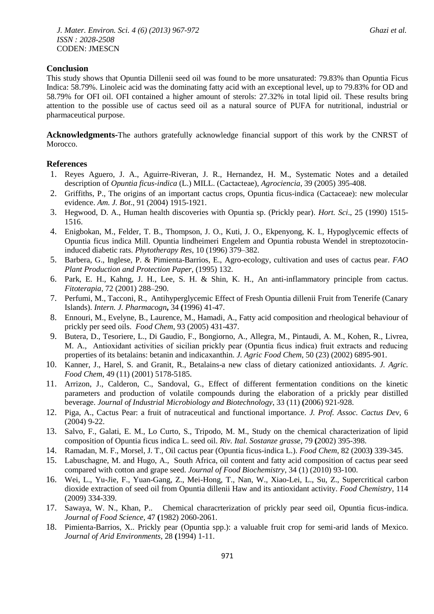## **Conclusion**

This study shows that Opuntia Dillenii seed oil was found to be more unsaturated: 79.83% than Opuntia Ficus Indica: 58.79%. Linoleic acid was the dominating fatty acid with an exceptional level, up to 79.83% for OD and 58.79% for OFI oil. OFI contained a higher amount of sterols: 27.32% in total lipid oil. These results bring attention to the possible use of cactus seed oil as a natural source of PUFA for nutritional, industrial or pharmaceutical purpose.

**Acknowledgments-**The authors gratefully acknowledge financial support of this work by the CNRST of Morocco.

# **References**

- 1. Reyes Aguero, J. A., Aguirre-Riveran, J. R., Hernandez, H. M., Systematic Notes and a detailed description of *Opuntia ficus-indica* (L.) MILL. (Cactacteae), *Agrociencia*, 39 (2005) 395-408.
- 2. Griffiths, P., The origins of an important cactus crops, Opuntia ficus-indica (Cactaceae): new molecular evidence. *Am. J. Bot*., 91 (2004) 1915-1921.
- 3. Hegwood, D. A., Human health discoveries with Opuntia sp. (Prickly pear). *Hort. Sci*., 25 (1990) 1515- 1516.
- 4. Enigbokan, M., Felder, T. B., Thompson, J. O., Kuti, J. O., Ekpenyong, K. I., Hypoglycemic effects of Opuntia ficus indica Mill. Opuntia lindheimeri Engelem and Opuntia robusta Wendel in streptozotocininduced diabetic rats. *Phytotherapy Res*, 10 (1996) 379–382.
- 5. Barbera, G., Inglese, P. & Pimienta-Barrios, E., Agro-ecology, cultivation and uses of cactus pear. *FAO Plant Production and Protection Paper*, (1995) 132.
- 6. Park, E. H., Kahng, J. H., Lee, S. H. & Shin, K. H., An anti-inflammatory principle from cactus. *Fitoterapia*, 72 (2001) 288–290.
- 7. Perfumi, M., Tacconi, R., Antihyperglycemic Effect of Fresh Opuntia dillenii Fruit from Tenerife (Canary Islands). *Intern. J. Pharmacogn***,** 34 **(**1996) 41-47.
- 8. Ennouri, M., Evelyne, B., Laurence, M., Hamadi, A., Fatty acid composition and rheological behaviour of prickly per seed oils. *Food Chem*, 93 (2005) 431-437.
- 9. Butera, D., Tesoriere, L., Di Gaudio, F., Bongiorno, A., Allegra, M., Pintaudi, A. M., Kohen, R., Livrea, M. A., Antioxidant activities of sicilian prickly pear (Opuntia ficus indica) fruit extracts and reducing properties of its betalains: betanin and indicaxanthin. *J. Agric Food Chem*, 50 (23) (2002) 6895-901.
- 10. Kanner, J., Harel, S. and Granit, R., Betalains-a new class of dietary cationized antioxidants. *J. Agric. Food Chem,* 49 (11) (2001) 5178-5185.
- 11. Arrizon, J., Calderon, C., Sandoval, G., Effect of different fermentation conditions on the kinetic parameters and production of volatile compounds during the elaboration of a prickly pear distilled beverage. *Journal of Industrial Microbiology and Biotechnology*, 33 (11) **(**2006) 921-928.
- 12. Piga, A., Cactus Pear: a fruit of nutraceutical and functional importance. *J. Prof. Assoc. Cactus Dev*, 6 (2004) 9-22.
- 13. Salvo, F., Galati, E. M., Lo Curto, S., Tripodo, M. M., Study on the chemical characterization of lipid composition of Opuntia ficus indica L. seed oil. *Riv. Ital. Sostanze grasse*, 79 **(**2002) 395-398.
- 14. Ramadan, M. F., Morsel, J. T., Oil cactus pear (Opuntia ficus-indica L.). *Food Chem*, 82 (2003**)** 339-345.
- 15. Labuschagne, M. and Hugo, A., South Africa, oil content and fatty acid composition of cactus pear seed compared with cotton and grape seed. *Journal of Food Biochemistry*, 34 (1) [\(2010\)](http://onlinelibrary.wiley.com/doi/10.1111/jfbc.2010.34.issue-1/issuetoc) 93-100.
- 16. Wei, L., Yu-Jie, F., Yuan-Gang, Z., Mei-Hong, T., Nan, W., Xiao-Lei, L., Su, Z., Supercritical carbon dioxide extraction of seed oil from Opuntia dillenii Haw and its antioxidant activity. *Food Chemistry*, 114 (2009) 334-339.
- 17. Sawaya, W. N., Khan, P.. Chemical characrterization of prickly pear seed oil, Opuntia ficus-indica. *Journal of Food Science,* 47 **(**1982) 2060-2061.
- 18. Pimienta-Barrios, X.. Prickly pear (Opuntia spp.): a valuable fruit crop for semi-arid lands of Mexico. *Journal of Arid Environments,* 28 **(**1994) 1-11.